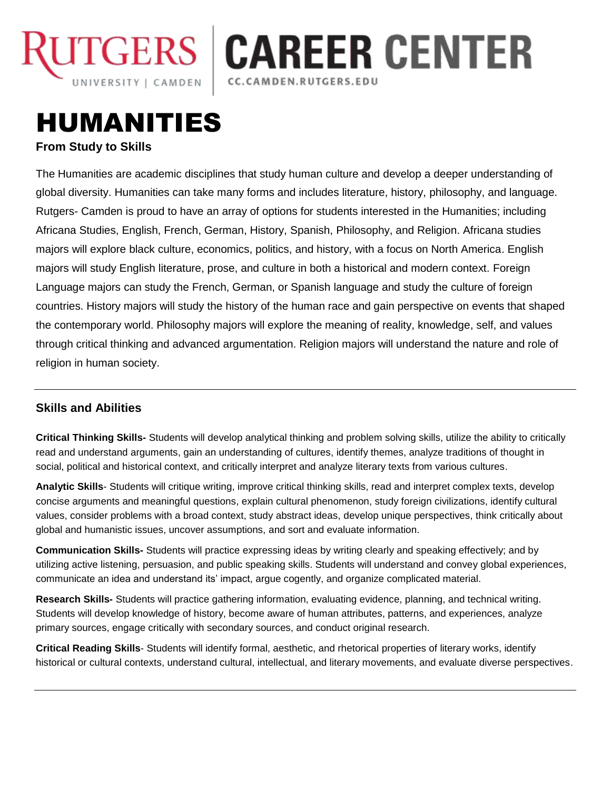

**JTGERS | CAREER CENTER** CC.CAMDEN.RUTGERS.EDU

# HUMANITIES **From Study to Skills**

The Humanities are academic disciplines that study human culture and develop a deeper understanding of global diversity. Humanities can take many forms and includes literature, history, philosophy, and language. Rutgers- Camden is proud to have an array of options for students interested in the Humanities; including Africana Studies, English, French, German, History, Spanish, Philosophy, and Religion. Africana studies majors will explore black culture, economics, politics, and history, with a focus on North America. English majors will study English literature, prose, and culture in both a historical and modern context. Foreign Language majors can study the French, German, or Spanish language and study the culture of foreign countries. History majors will study the history of the human race and gain perspective on events that shaped the contemporary world. Philosophy majors will explore the meaning of reality, knowledge, self, and values through critical thinking and advanced argumentation. Religion majors will understand the nature and role of religion in human society.

# **Skills and Abilities**

**Critical Thinking Skills-** Students will develop analytical thinking and problem solving skills, utilize the ability to critically read and understand arguments, gain an understanding of cultures, identify themes, analyze traditions of thought in social, political and historical context, and critically interpret and analyze literary texts from various cultures.

**Analytic Skills**- Students will critique writing, improve critical thinking skills, read and interpret complex texts, develop concise arguments and meaningful questions, explain cultural phenomenon, study foreign civilizations, identify cultural values, consider problems with a broad context, study abstract ideas, develop unique perspectives, think critically about global and humanistic issues, uncover assumptions, and sort and evaluate information.

**Communication Skills-** Students will practice expressing ideas by writing clearly and speaking effectively; and by utilizing active listening, persuasion, and public speaking skills. Students will understand and convey global experiences, communicate an idea and understand its' impact, argue cogently, and organize complicated material.

**Research Skills-** Students will practice gathering information, evaluating evidence, planning, and technical writing. Students will develop knowledge of history, become aware of human attributes, patterns, and experiences, analyze primary sources, engage critically with secondary sources, and conduct original research.

**Critical Reading Skills**- Students will identify formal, aesthetic, and rhetorical properties of literary works, identify historical or cultural contexts, understand cultural, intellectual, and literary movements, and evaluate diverse perspectives.